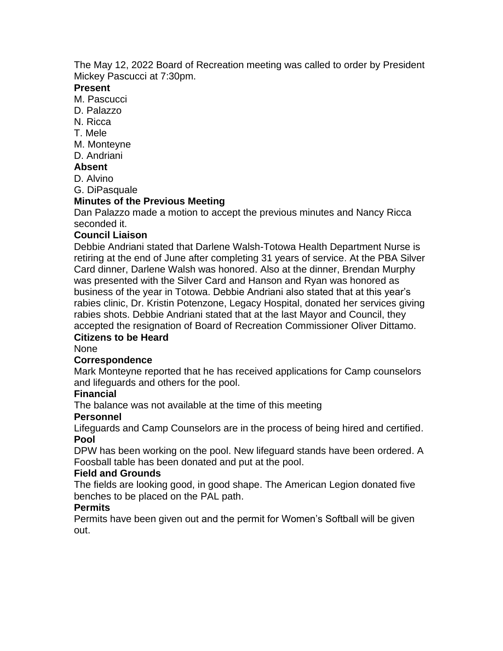The May 12, 2022 Board of Recreation meeting was called to order by President Mickey Pascucci at 7:30pm.

## **Present**

- M. Pascucci
- D. Palazzo
- N. Ricca
- T. Mele
- M. Monteyne
- D. Andriani

# **Absent**

- D. Alvino
- G. DiPasquale

### **Minutes of the Previous Meeting**

Dan Palazzo made a motion to accept the previous minutes and Nancy Ricca seconded it.

# **Council Liaison**

Debbie Andriani stated that Darlene Walsh-Totowa Health Department Nurse is retiring at the end of June after completing 31 years of service. At the PBA Silver Card dinner, Darlene Walsh was honored. Also at the dinner, Brendan Murphy was presented with the Silver Card and Hanson and Ryan was honored as business of the year in Totowa. Debbie Andriani also stated that at this year's rabies clinic, Dr. Kristin Potenzone, Legacy Hospital, donated her services giving rabies shots. Debbie Andriani stated that at the last Mayor and Council, they accepted the resignation of Board of Recreation Commissioner Oliver Dittamo.

# **Citizens to be Heard**

None

### **Correspondence**

Mark Monteyne reported that he has received applications for Camp counselors and lifeguards and others for the pool.

### **Financial**

The balance was not available at the time of this meeting

### **Personnel**

Lifeguards and Camp Counselors are in the process of being hired and certified. **Pool**

DPW has been working on the pool. New lifeguard stands have been ordered. A Foosball table has been donated and put at the pool.

### **Field and Grounds**

The fields are looking good, in good shape. The American Legion donated five benches to be placed on the PAL path.

### **Permits**

Permits have been given out and the permit for Women's Softball will be given out.